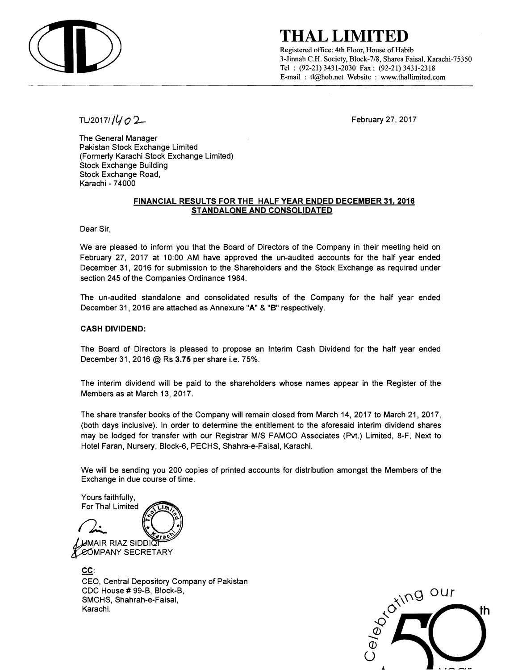

### **THAL LIMITED**

Registered office: 4th Floor, House of Habib 3-Jinnah c.H. Society, Block-7/8, Sharea Faisal, Karachi-75350 Tel: (92-21) 3431-2030 Fax: (92-21) 3431-2318 E-mail: tl@hoh.net Website : www.thallimited.com

*TU20171/ll 02-* February 27. 2017

The General Manager Pakistan Stock Exchange Limited (Formerly Karachi Stock Exchange Limited) Stock Exchange Building Stock Exchange Road, Karachi - 74000

#### FINANCIAL RESULTS FOR THE HALF YEAR ENDED DECEMBER 31.2016 STANDALONE AND CONSOLIDATED

Dear Sir,

We are pleased to inform you that the Board of Directors of the Company in their meeting held on February 27, 2017 at 10:00 AM have approved the un-audited accounts for the half year ended December 31.2016 for submission to the Shareholders and the Stock Exchange as required under section 245 of the Companies Ordinance 1984.

The un-audited standalone and consolidated results of the Company for the half year ended December 31, 2016 are attached as Annexure "A" & "B" respectively.

### CASH DIVIDEND:

The Board of Directors is pleased to propose an Interim Cash Dividend for the half year ended December 31, 2016 @ Rs 3.75 per share i.e. 75%.

The interim dividend will be paid to the shareholders whose names appear in the Register of the Members as at March 13,2017.

The share transfer books of the Company will remain closed from March 14, 2017 to March 21. 2017, (both days inclusive). In order to determine the entitlement to the aforesaid interim dividend shares may be lodged for transfer with our Registrar MIS FAMCO Associates (Pvt.) Limited, 8-F, Next to Hotel Faran, Nursery, Block-6, PECHS, Shahra-e-Faisal, Karachi.

We will be sending you 200 copies of printed accounts for distribution amongst the Members of the Exchange in due course of time.

Yours faithfully,

For Thal Limited  $\mu$ mair riaz siddið **COMPANY SECRETARY** 

CC: CEO, Central Depository Company of Pakistan CDC House # 99-B, Block-B, SMCHS, Shahrah-e-Faisal, Karachi.

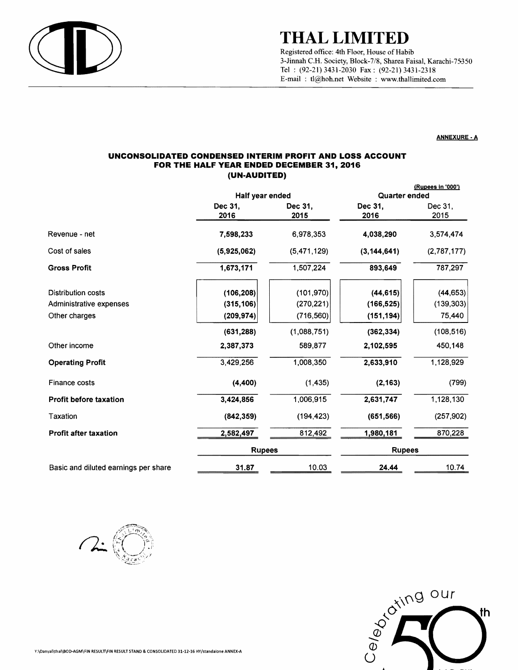

# **THAL LIMITED**

Registered office: 4th Floor, House of Habib 3-Jinnah C.H. Society, Block-7/8, Sharea Faisal, Karachi-75350 Tel : (92-21) 3431-2030 Fax: (92-21) 3431-2318 E-mail: tl@hoh.net Website: www.tha1limited.com

#### ANNEXURE·A

#### **UNCONSOLIDATED CONDENSED INTERIM PROFIT AND LOSS ACCOUNT FOR THE HALF YEAR ENDED DECEMBER 31,2016 (UN-AUDITED)**

|                                      | Half year ended |                 | (Rupees in '000')<br>Quarter ended |                 |
|--------------------------------------|-----------------|-----------------|------------------------------------|-----------------|
|                                      | Dec 31.<br>2016 | Dec 31.<br>2015 | Dec 31.<br>2016                    | Dec 31.<br>2015 |
| Revenue - net                        | 7,598,233       | 6,978,353       | 4,038,290                          | 3,574,474       |
| Cost of sales                        | (5,925,062)     | (5,471,129)     | (3, 144, 641)                      | (2,787,177)     |
| <b>Gross Profit</b>                  | 1,673,171       | 1,507,224       | 893,649                            | 787,297         |
| <b>Distribution costs</b>            | (106, 208)      | (101, 970)      | (44, 615)                          | (44, 653)       |
| Administrative expenses              | (315, 106)      | (270, 221)      | (166, 525)                         | (139, 303)      |
| Other charges                        | (209, 974)      | (716, 560)      | (151, 194)                         | 75,440          |
|                                      | (631, 288)      | (1,088,751)     | (362, 334)                         | (108, 516)      |
| Other income                         | 2,387,373       | 589,877         | 2,102,595                          | 450,148         |
| <b>Operating Profit</b>              | 3,429,256       | 1,008,350       | 2,633,910                          | 1,128,929       |
| Finance costs                        | (4,400)         | (1, 435)        | (2, 163)                           | (799)           |
| Profit before taxation               | 3,424,856       | 1,006,915       | 2,631,747                          | 1,128,130       |
| Taxation                             | (842, 359)      | (194, 423)      | (651, 566)                         | (257, 902)      |
| <b>Profit after taxation</b>         | 2,582,497       | 812,492         | 1,980,181                          | 870,228         |
|                                      | <b>Rupees</b>   |                 | <b>Rupees</b>                      |                 |
| Basic and diluted earnings per share | 31.87           | 10.03           | 24.44                              | 10.74           |